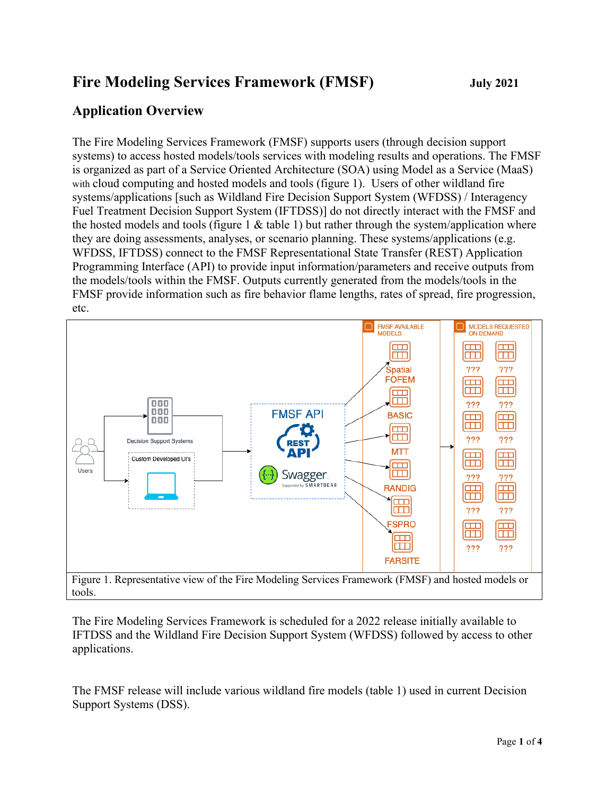## **Fire Modeling Services Framework (FMSF) July 2021**

## **Application Overview**

The Fire Modeling Services Framework (FMSF) supports users (through decision support systems) to access hosted models/tools services with modeling results and operations. The FMSF is organized as part of a Service Oriented Architecture (SOA) using Model as a Service (MaaS) with cloud computing and hosted models and tools (figure 1). Users of other wildland fire systems/applications [such as Wildland Fire Decision Support System (WFDSS) / Interagency Fuel Treatment Decision Support System (IFTDSS)] do not directly interact with the FMSF and the hosted models and tools (figure 1  $\&$  table 1) but rather through the system/application where they are doing assessments, analyses, or scenario planning. These systems/applications (e.g. WFDSS, IFTDSS) connect to the FMSF Representational State Transfer (REST) Application Programming Interface (API) to provide input information/parameters and receive outputs from the models/tools within the FMSF. Outputs currently generated from the models/tools in the FMSF provide information such as fire behavior flame lengths, rates of spread, fire progression, etc.



The Fire Modeling Services Framework is scheduled for a 2022 release initially available to IFTDSS and the Wildland Fire Decision Support System (WFDSS) followed by access to other applications.

The FMSF release will include various wildland fire models (table 1) used in current Decision Support Systems (DSS).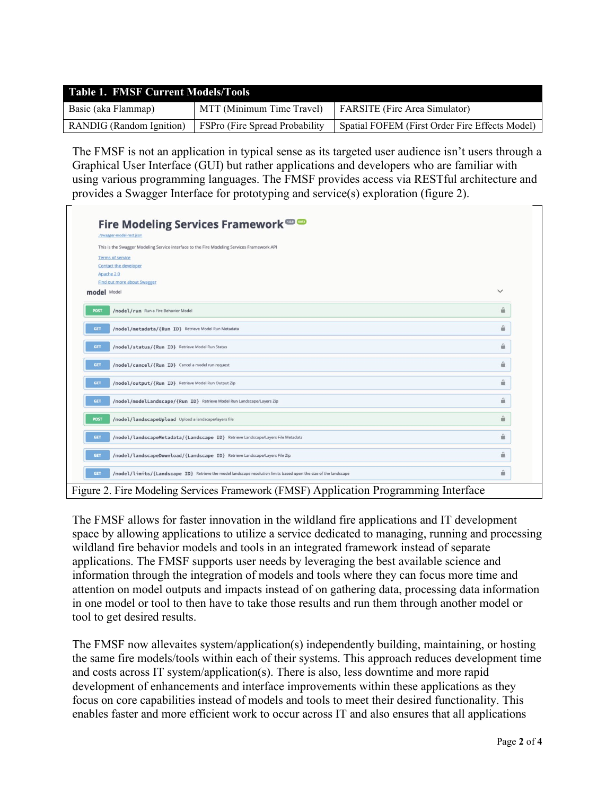| <b>Table 1. FMSF Current Models/Tools</b> |                                 |                                                |  |
|-------------------------------------------|---------------------------------|------------------------------------------------|--|
| Basic (aka Flammap)                       | MTT (Minimum Time Travel)       | FARSITE (Fire Area Simulator)                  |  |
| <b>RANDIG</b> (Random Ignition)           | FSPro (Fire Spread Probability) | Spatial FOFEM (First Order Fire Effects Model) |  |

The FMSF is not an application in typical sense as its targeted user audience isn't users through a Graphical User Interface (GUI) but rather applications and developers who are familiar with using various programming languages. The FMSF provides access via RESTful architecture and provides a Swagger Interface for prototyping and service(s) exploration (figure 2).

| ./swagger-model-rest.json                                                                                                      |              |
|--------------------------------------------------------------------------------------------------------------------------------|--------------|
| This is the Swagger Modeling Service interface to the Fire Modeling Services Framework API                                     |              |
| <b>Terms of service</b>                                                                                                        |              |
| <b>Contact the developer</b>                                                                                                   |              |
| Apache 2.0                                                                                                                     |              |
| <b>Find out more about Swagger</b>                                                                                             |              |
| model Model                                                                                                                    | $\checkmark$ |
| /model/run Run a Fire Behavior Model<br><b>POST</b>                                                                            | û            |
| <b>GET</b><br>/model/metadata/{Run ID} Retrieve Model Run Metadata                                                             | â            |
| /model/status/{Run ID} Retrieve Model Run Status<br><b>GET</b>                                                                 | û            |
| /model/cancel/{Run ID} Cancel a model run request<br><b>GET</b>                                                                | û            |
| <b>GET</b><br>/model/output/{Run ID} Retrieve Model Run Output Zip                                                             | $\triangleq$ |
| /model/modelLandscape/{Run ID} Retrieve Model Run Landscape/Layers Zip<br><b>GET</b>                                           | â            |
| /model/landscapeUpload Upload a landscape/layers file<br><b>POST</b>                                                           | â            |
| GET<br>/model/landscapeMetadata/{Landscape ID} Retrieve Landscape/Layers File Metadata                                         | â            |
| <b>GET</b><br>/model/landscapeDownload/{Landscape ID} Retrieve Landscape/Layers File Zip                                       | û            |
| /model/limits/{Landscape ID} Retrieve the model landscape resolution limits based upon the size of the landscape<br><b>GET</b> | û            |

The FMSF allows for faster innovation in the wildland fire applications and IT development space by allowing applications to utilize a service dedicated to managing, running and processing wildland fire behavior models and tools in an integrated framework instead of separate applications. The FMSF supports user needs by leveraging the best available science and information through the integration of models and tools where they can focus more time and attention on model outputs and impacts instead of on gathering data, processing data information in one model or tool to then have to take those results and run them through another model or tool to get desired results.

The FMSF now allevaites system/application(s) independently building, maintaining, or hosting the same fire models/tools within each of their systems. This approach reduces development time and costs across IT system/application(s). There is also, less downtime and more rapid development of enhancements and interface improvements within these applications as they focus on core capabilities instead of models and tools to meet their desired functionality. This enables faster and more efficient work to occur across IT and also ensures that all applications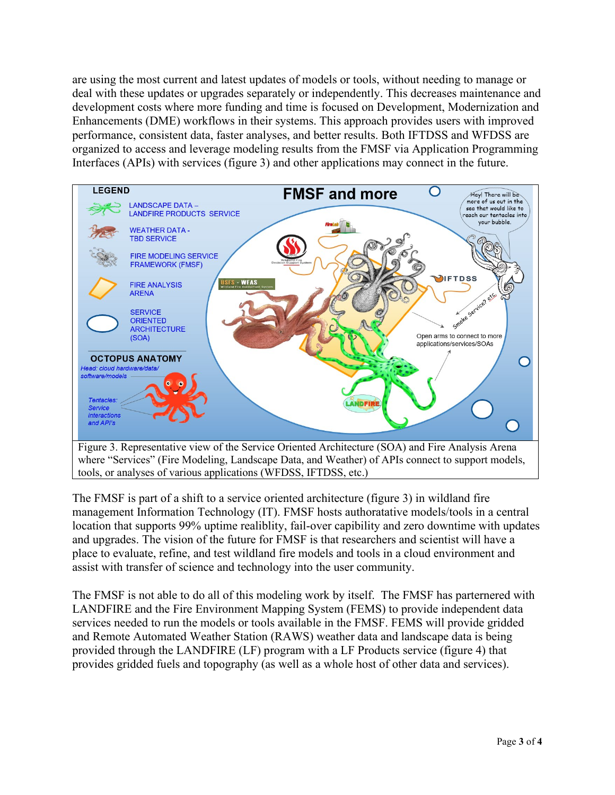are using the most current and latest updates of models or tools, without needing to manage or deal with these updates or upgrades separately or independently. This decreases maintenance and development costs where more funding and time is focused on Development, Modernization and Enhancements (DME) workflows in their systems. This approach provides users with improved performance, consistent data, faster analyses, and better results. Both IFTDSS and WFDSS are organized to access and leverage modeling results from the FMSF via Application Programming Interfaces (APIs) with services (figure 3) and other applications may connect in the future.



The FMSF is part of a shift to a service oriented architecture (figure 3) in wildland fire management Information Technology (IT). FMSF hosts authoratative models/tools in a central location that supports 99% uptime realiblity, fail-over capibility and zero downtime with updates and upgrades. The vision of the future for FMSF is that researchers and scientist will have a place to evaluate, refine, and test wildland fire models and tools in a cloud environment and assist with transfer of science and technology into the user community.

The FMSF is not able to do all of this modeling work by itself. The FMSF has parternered with LANDFIRE and the Fire Environment Mapping System (FEMS) to provide independent data services needed to run the models or tools available in the FMSF. FEMS will provide gridded and Remote Automated Weather Station (RAWS) weather data and landscape data is being provided through the LANDFIRE (LF) program with a LF Products service (figure 4) that provides gridded fuels and topography (as well as a whole host of other data and services).